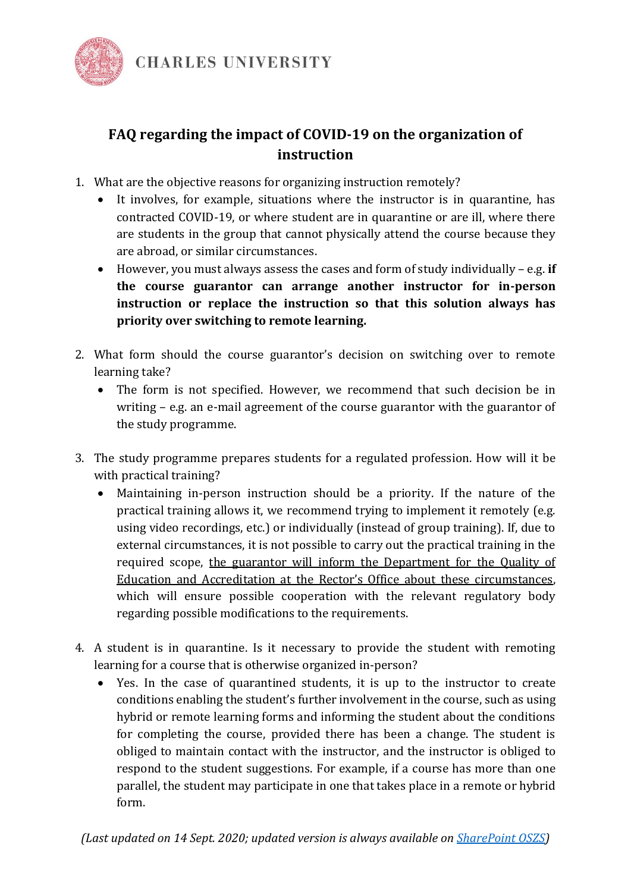

## **FAQ regarding the impact of COVID-19 on the organization of instruction**

- 1. What are the objective reasons for organizing instruction remotely?
	- It involves, for example, situations where the instructor is in quarantine, has contracted COVID-19, or where student are in quarantine or are ill, where there are students in the group that cannot physically attend the course because they are abroad, or similar circumstances.
	- However, you must always assess the cases and form of study individually e.g. **if the course guarantor can arrange another instructor for in-person instruction or replace the instruction so that this solution always has priority over switching to remote learning.**
- 2. What form should the course guarantor's decision on switching over to remote learning take?
	- The form is not specified. However, we recommend that such decision be in writing – e.g. an e-mail agreement of the course guarantor with the guarantor of the study programme.
- 3. The study programme prepares students for a regulated profession. How will it be with practical training?
	- Maintaining in-person instruction should be a priority. If the nature of the practical training allows it, we recommend trying to implement it remotely (e.g. using video recordings, etc.) or individually (instead of group training). If, due to external circumstances, it is not possible to carry out the practical training in the required scope, the guarantor will inform the Department for the Quality of Education and Accreditation at the Rector's Office about these circumstances, which will ensure possible cooperation with the relevant regulatory body regarding possible modifications to the requirements.
- 4. A student is in quarantine. Is it necessary to provide the student with remoting learning for a course that is otherwise organized in-person?
	- Yes. In the case of quarantined students, it is up to the instructor to create conditions enabling the student's further involvement in the course, such as using hybrid or remote learning forms and informing the student about the conditions for completing the course, provided there has been a change. The student is obliged to maintain contact with the instructor, and the instructor is obliged to respond to the student suggestions. For example, if a course has more than one parallel, the student may participate in one that takes place in a remote or hybrid form.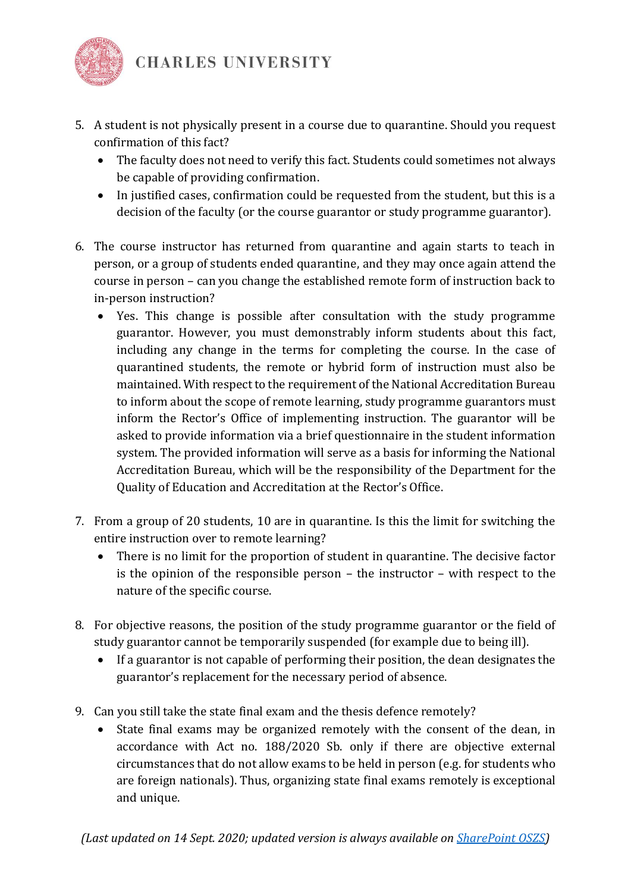

- 5. A student is not physically present in a course due to quarantine. Should you request confirmation of this fact?
	- The faculty does not need to verify this fact. Students could sometimes not always be capable of providing confirmation.
	- In justified cases, confirmation could be requested from the student, but this is a decision of the faculty (or the course guarantor or study programme guarantor).
- 6. The course instructor has returned from quarantine and again starts to teach in person, or a group of students ended quarantine, and they may once again attend the course in person – can you change the established remote form of instruction back to in-person instruction?
	- Yes. This change is possible after consultation with the study programme guarantor. However, you must demonstrably inform students about this fact, including any change in the terms for completing the course. In the case of quarantined students, the remote or hybrid form of instruction must also be maintained. With respect to the requirement of the National Accreditation Bureau to inform about the scope of remote learning, study programme guarantors must inform the Rector's Office of implementing instruction. The guarantor will be asked to provide information via a brief questionnaire in the student information system. The provided information will serve as a basis for informing the National Accreditation Bureau, which will be the responsibility of the Department for the Quality of Education and Accreditation at the Rector's Office.
- 7. From a group of 20 students, 10 are in quarantine. Is this the limit for switching the entire instruction over to remote learning?
	- There is no limit for the proportion of student in quarantine. The decisive factor is the opinion of the responsible person – the instructor – with respect to the nature of the specific course.
- 8. For objective reasons, the position of the study programme guarantor or the field of study guarantor cannot be temporarily suspended (for example due to being ill).
	- If a guarantor is not capable of performing their position, the dean designates the guarantor's replacement for the necessary period of absence.
- 9. Can you still take the state final exam and the thesis defence remotely?
	- State final exams may be organized remotely with the consent of the dean, in accordance with Act no. 188/2020 Sb. only if there are objective external circumstances that do not allow exams to be held in person (e.g. for students who are foreign nationals). Thus, organizing state final exams remotely is exceptional and unique.